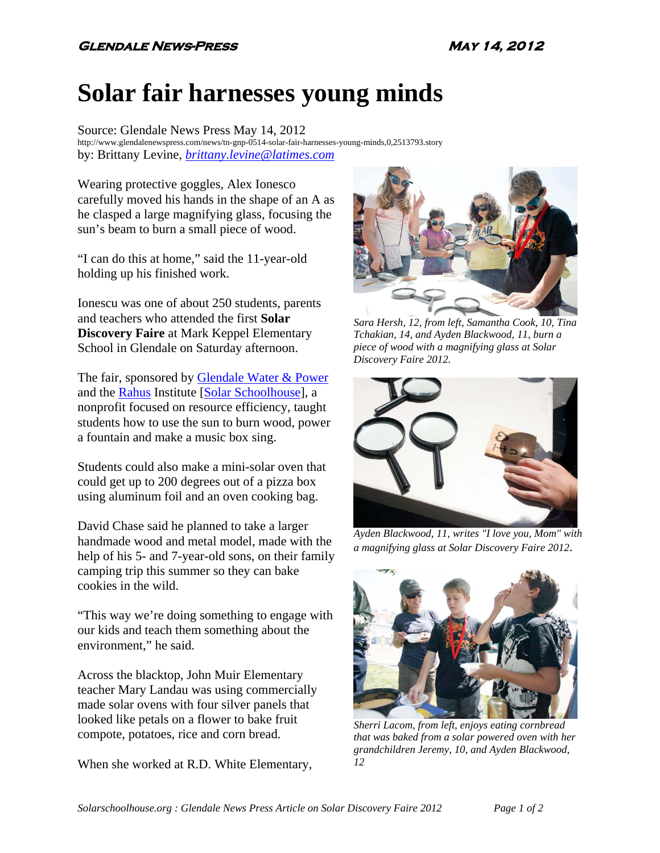## **Solar fair harnesses young minds**

Source: Glendale News Press May 14, 2012 http://www.glendalenewspress.com/news/tn-gnp-0514-solar-fair-harnesses-young-minds,0,2513793.story by: Brittany Levine, *brittany.levine@latimes.com*

Wearing protective goggles, Alex Ionesco carefully moved his hands in the shape of an A as he clasped a large magnifying glass, focusing the sun's beam to burn a small piece of wood.

"I can do this at home," said the 11-year-old holding up his finished work.

Ionescu was one of about 250 students, parents and teachers who attended the first **Solar Discovery Faire** at Mark Keppel Elementary School in Glendale on Saturday afternoon.

The fair, sponsored by Glendale Water & Power and the Rahus Institute [Solar Schoolhouse], a nonprofit focused on resource efficiency, taught students how to use the sun to burn wood, power a fountain and make a music box sing.

Students could also make a mini-solar oven that could get up to 200 degrees out of a pizza box using aluminum foil and an oven cooking bag.

David Chase said he planned to take a larger handmade wood and metal model, made with the help of his 5- and 7-year-old sons, on their family camping trip this summer so they can bake cookies in the wild.

"This way we're doing something to engage with our kids and teach them something about the environment," he said.

Across the blacktop, John Muir Elementary teacher Mary Landau was using commercially made solar ovens with four silver panels that looked like petals on a flower to bake fruit compote, potatoes, rice and corn bread.

When she worked at R.D. White Elementary,



*Sara Hersh, 12, from left, Samantha Cook, 10, Tina Tchakian, 14, and Ayden Blackwood, 11, burn a piece of wood with a magnifying glass at Solar Discovery Faire 2012.* 



*Ayden Blackwood, 11, writes "I love you, Mom" with a magnifying glass at Solar Discovery Faire 2012*.



*Sherri Lacom, from left, enjoys eating cornbread that was baked from a solar powered oven with her grandchildren Jeremy, 10, and Ayden Blackwood, 12*